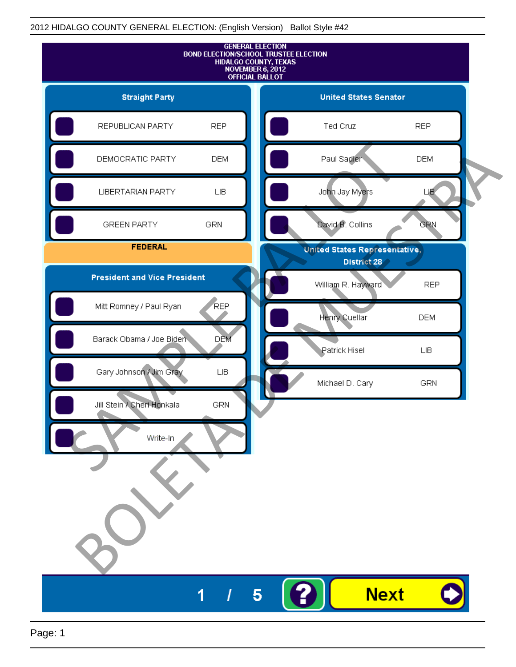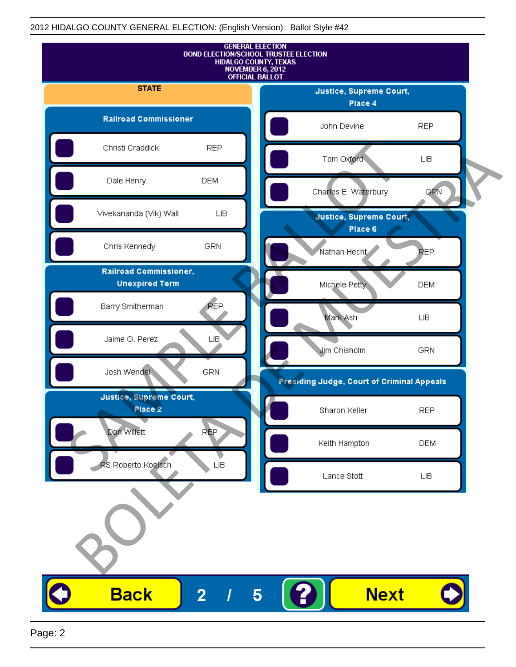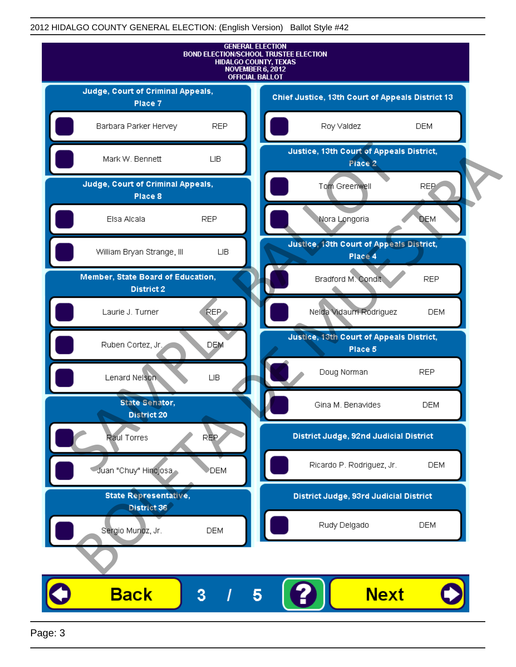

Page: 3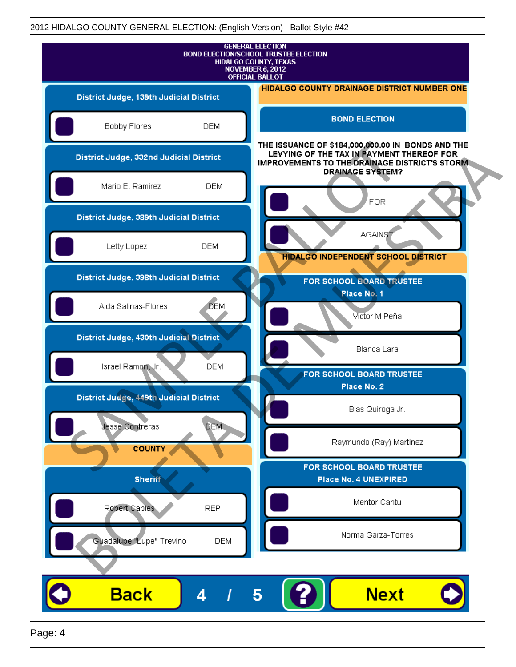| <b>GENERAL ELECTION</b><br><b>BOND ELECTION/SCHOOL TRUSTEE ELECTION</b><br>HIDALGO COUNTY, TEXAS<br>NOVEMBER 6, 2012<br><b>OFFICIAL BALLOT</b> |                                                                                                                                                                                    |  |
|------------------------------------------------------------------------------------------------------------------------------------------------|------------------------------------------------------------------------------------------------------------------------------------------------------------------------------------|--|
| District Judge, 139th Judicial District                                                                                                        | <b>HIDALGO COUNTY DRAINAGE DISTRICT NUMBER ONE</b>                                                                                                                                 |  |
| Bobby Flores                                                                                                                                   | <b>BOND ELECTION</b><br><b>DEM</b>                                                                                                                                                 |  |
| District Judge, 332nd Judicial District                                                                                                        | THE ISSUANCE OF \$184,000,000.00 IN BONDS AND THE<br>LEVYING OF THE TAX IN PAYMENT THEREOF FOR<br><b>IMPROVEMENTS TO THE DRAINAGE DISTRICT'S STORM.</b><br><b>DRAINAGE SYSTEM?</b> |  |
| Mario E. Ramirez                                                                                                                               | <b>DEM</b>                                                                                                                                                                         |  |
| District Judge, 389th Judicial District                                                                                                        | <b>FOR</b>                                                                                                                                                                         |  |
| Letty Lopez                                                                                                                                    | <b>AGAINST</b><br><b>DEM</b>                                                                                                                                                       |  |
| District Judge, 398th Judicial District                                                                                                        | <b>HIDALGO INDEPENDENT SCHOOL DISTRICT</b><br>FOR SCHOOL BOARD TRUSTEE                                                                                                             |  |
| Aida Salinas-Flores                                                                                                                            | Place No. 1<br><b>DEM</b><br>Victor M Peña                                                                                                                                         |  |
| District Judge, 430th Judicial District                                                                                                        | Blanca Lara                                                                                                                                                                        |  |
| Israel Ramon, Jr.                                                                                                                              | <b>DEM</b><br>FOR SCHOOL BOARD TRUSTEE                                                                                                                                             |  |
| District Judge, 449th Judicial District                                                                                                        | Place No. 2                                                                                                                                                                        |  |
| Jesse Contreras                                                                                                                                | Blas Quiroga Jr.<br><b>DEM</b>                                                                                                                                                     |  |
| <b>COUNTY</b>                                                                                                                                  | Raymundo (Ray) Martinez                                                                                                                                                            |  |
| <b>Sheriff</b>                                                                                                                                 | FOR SCHOOL BOARD TRUSTEE<br>Place No. 4 UNEXPIRED                                                                                                                                  |  |
| Robert Caples                                                                                                                                  | Mentor Cantu<br><b>REP</b>                                                                                                                                                         |  |
| Guadalupe "Lupe" Trevino                                                                                                                       | Norma Garza-Torres<br><b>DEM</b>                                                                                                                                                   |  |
|                                                                                                                                                |                                                                                                                                                                                    |  |
| <b>Back</b><br>4                                                                                                                               | <b>Next</b><br>5                                                                                                                                                                   |  |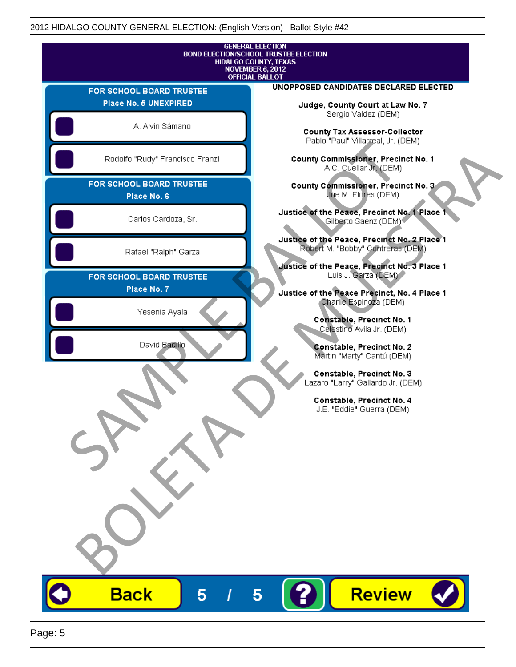|                                         | <b>GENERAL ELECTION</b><br><b>BOND ELECTION/SCHOOL TRUSTEE ELECTION</b><br>HIDALGO COUNTY, TEXAS<br><b>NOVEMBER 6, 2012</b><br><b>OFFICIAL BALLOT</b> |
|-----------------------------------------|-------------------------------------------------------------------------------------------------------------------------------------------------------|
| FOR SCHOOL BOARD TRUSTEE                | UNOPPOSED CANDIDATES DECLARED ELECTED                                                                                                                 |
| Place No. 5 UNEXPIRED                   | Judge, County Court at Law No. 7                                                                                                                      |
| A. Alvin Sámano                         | Sergio Valdez (DEM)<br>County Tax Assessor-Collector<br>Pablo "Paul" Villarreal, Jr. (DEM)                                                            |
| Rodolfo "Rudy" Francisco Franz!         | <b>County Commissioner, Precinct No. 1</b><br>A.C. Cuellar Jr. (DEM)                                                                                  |
| FOR SCHOOL BOARD TRUSTEE<br>Place No. 6 | County Commissioner, Precinct No. 3<br>Joe M. Flores (DEM)                                                                                            |
| Carlos Cardoza, Sr.                     | Justice of the Peace, Precinct No. 1 Place 1<br>Gilberto Saenz (DEM) <sup>®</sup>                                                                     |
| Rafael "Ralph" Garza                    | Justice of the Peace, Precinct No. 2 Place 1<br>Robert M. "Bobby" Contreras (DEM)<br>Justice of the Peace, Precinct No. 3 Place 1                     |
| FOR SCHOOL BOARD TRUSTEE<br>Place No. 7 | Luis J. Garza (DEM)<br>Justice of the Peace Precinct, No. 4 Place 1                                                                                   |
| Yesenia Ayala                           | Charlie Espinoza (DEM)<br>Constable, Precinct No. 1<br>Celestino Avila Jr. (DEM)                                                                      |
| David Badillo                           | Constable, Precinct No. 2<br>Martin "Marty" Cantú (DEM)                                                                                               |
|                                         | Constable, Precinct No. 3<br>Lazaro "Larry" Gallardo Jr. (DEM)<br>Constable, Precinct No. 4<br>J.E. "Eddie" Guerra (DEM)                              |
|                                         |                                                                                                                                                       |
|                                         |                                                                                                                                                       |
|                                         |                                                                                                                                                       |
| <b>Back</b><br>5                        | Review<br>5                                                                                                                                           |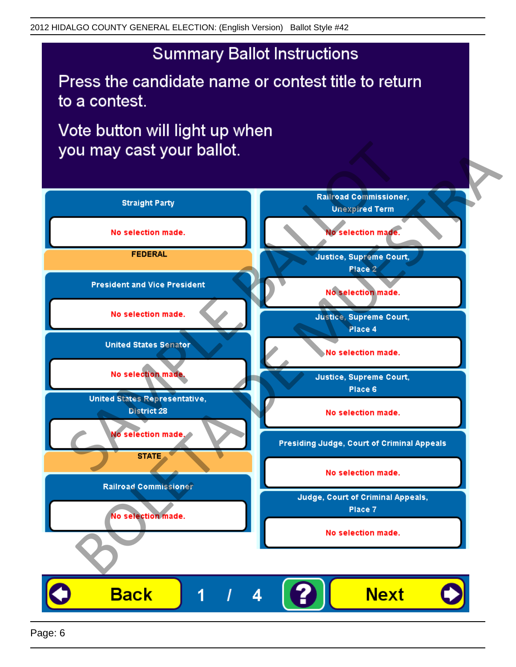Press the candidate name or contest title to return to a contest.

Vote button will light up when

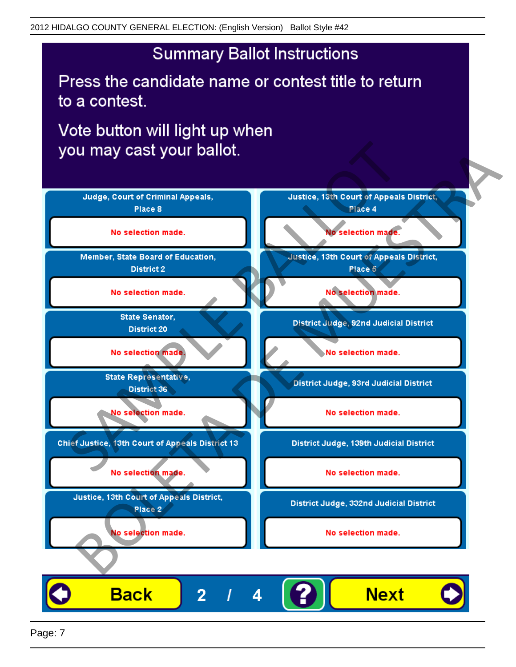Press the candidate name or contest title to return to a contest.

Vote button will light up when



Page: 7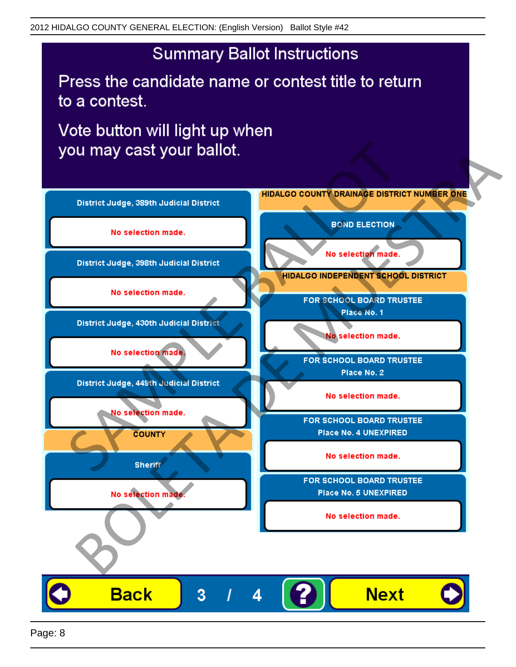Press the candidate name or contest title to return to a contest.

Vote button will light up when